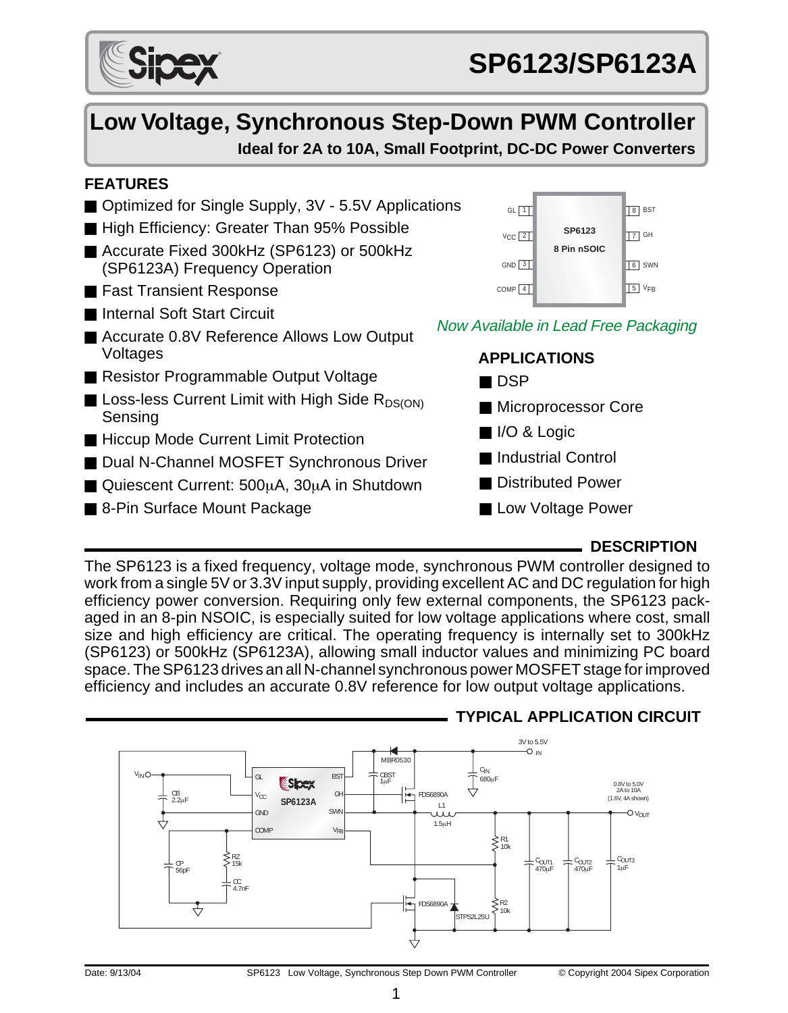# **Low Voltage, Synchronous Step-Down PWM Controller Ideal for 2A to 10A, Small Footprint, DC-DC Power Converters**

# **FEATURES**

- Optimized for Single Supply, 3V 5.5V Applications
- High Efficiency: Greater Than 95% Possible
- Accurate Fixed 300kHz (SP6123) or 500kHz (SP6123A) Frequency Operation
- Fast Transient Response
- Internal Soft Start Circuit
- Accurate 0.8V Reference Allows Low Output Voltages
- Resistor Programmable Output Voltage
- **E** Loss-less Current Limit with High Side  $R_{DS(ON)}$ Sensing
- Hiccup Mode Current Limit Protection
- Dual N-Channel MOSFET Synchronous Driver
- Quiescent Current: 500uA, 30uA in Shutdown
- 8-Pin Surface Mount Package



### Now Available in Lead Free Packaging



■ Low Voltage Power

### **DESCRIPTION**

The SP6123 is a fixed frequency, voltage mode, synchronous PWM controller designed to work from a single 5V or 3.3V input supply, providing excellent AC and DC regulation for high efficiency power conversion. Requiring only few external components, the SP6123 packaged in an 8-pin NSOIC, is especially suited for low voltage applications where cost, small size and high efficiency are critical. The operating frequency is internally set to 300kHz (SP6123) or 500kHz (SP6123A), allowing small inductor values and minimizing PC board space. The SP6123 drives an all N-channel synchronous power MOSFET stage for improved efficiency and includes an accurate 0.8V reference for low output voltage applications.



# **TYPICAL APPLICATION CIRCUIT**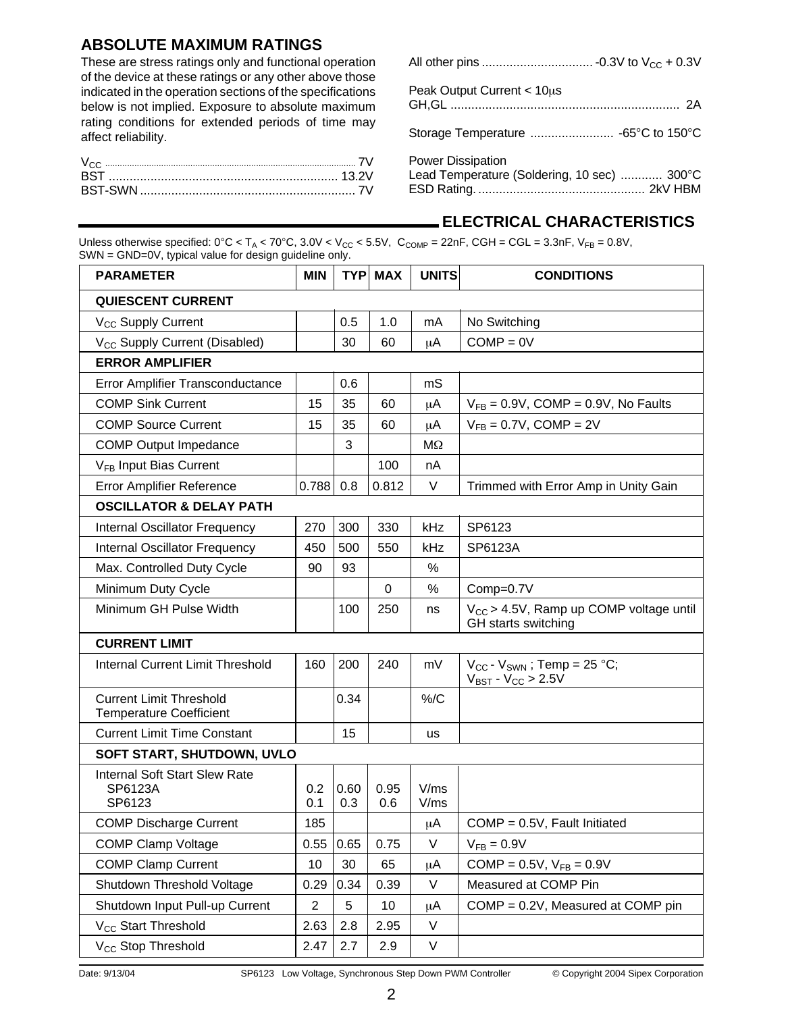### **ABSOLUTE MAXIMUM RATINGS**

These are stress ratings only and functional operation of the device at these ratings or any other above those indicated in the operation sections of the specifications below is not implied. Exposure to absolute maximum rating conditions for extended periods of time may affect reliability.

| <b>BST</b> |  |
|------------|--|
|            |  |

| Peak Output Current < 10us                                              |  |
|-------------------------------------------------------------------------|--|
|                                                                         |  |
| <b>Power Dissipation</b><br>Lead Temperature (Soldering, 10 sec)  300°C |  |

# **ELECTRICAL CHARACTERISTICS**

Unless otherwise specified:  $0^{\circ}$ C < T<sub>A</sub> < 70 $^{\circ}$ C, 3.0V < V<sub>CC</sub> < 5.5V, C<sub>COMP</sub> = 22nF, CGH = CGL = 3.3nF, V<sub>FB</sub> = 0.8V, SWN = GND=0V, typical value for design guideline only.

| <b>PARAMETER</b>                                                 | <b>MIN</b>     | <b>TYP</b>  | <b>MAX</b>  | <b>UNITS</b> | <b>CONDITIONS</b>                                                                 |
|------------------------------------------------------------------|----------------|-------------|-------------|--------------|-----------------------------------------------------------------------------------|
| <b>QUIESCENT CURRENT</b>                                         |                |             |             |              |                                                                                   |
| V <sub>CC</sub> Supply Current                                   |                | 0.5         | 1.0         | mA           | No Switching                                                                      |
| V <sub>CC</sub> Supply Current (Disabled)                        |                | 30          | 60          | μA           | $COMP = OV$                                                                       |
| <b>ERROR AMPLIFIER</b>                                           |                |             |             |              |                                                                                   |
| Error Amplifier Transconductance                                 |                | 0.6         |             | mS           |                                                                                   |
| <b>COMP Sink Current</b>                                         | 15             | 35          | 60          | μA           | $V_{FB} = 0.9V$ , COMP = 0.9V, No Faults                                          |
| <b>COMP Source Current</b>                                       | 15             | 35          | 60          | μA           | $V_{FB} = 0.7V$ , COMP = 2V                                                       |
| <b>COMP Output Impedance</b>                                     |                | 3           |             | MΩ           |                                                                                   |
| V <sub>FB</sub> Input Bias Current                               |                |             | 100         | nA           |                                                                                   |
| Error Amplifier Reference                                        | 0.788          | 0.8         | 0.812       | V            | Trimmed with Error Amp in Unity Gain                                              |
| <b>OSCILLATOR &amp; DELAY PATH</b>                               |                |             |             |              |                                                                                   |
| Internal Oscillator Frequency                                    | 270            | 300         | 330         | kHz          | SP6123                                                                            |
| Internal Oscillator Frequency                                    | 450            | 500         | 550         | kHz          | SP6123A                                                                           |
| Max. Controlled Duty Cycle                                       | 90             | 93          |             | $\%$         |                                                                                   |
| Minimum Duty Cycle                                               |                |             | $\Omega$    | %            | Comp=0.7V                                                                         |
| Minimum GH Pulse Width                                           |                | 100         | 250         | ns           | $V_{CC}$ > 4.5V, Ramp up COMP voltage until<br>GH starts switching                |
| <b>CURRENT LIMIT</b>                                             |                |             |             |              |                                                                                   |
| Internal Current Limit Threshold                                 | 160            | 200         | 240         | mV           | $V_{CC}$ - $V_{SWN}$ ; Temp = 25 °C;<br>$V_{\text{BST}}$ - $V_{\text{CC}}$ > 2.5V |
| <b>Current Limit Threshold</b><br><b>Temperature Coefficient</b> |                | 0.34        |             | % /C         |                                                                                   |
| <b>Current Limit Time Constant</b>                               |                | 15          |             | <b>us</b>    |                                                                                   |
| SOFT START, SHUTDOWN, UVLO                                       |                |             |             |              |                                                                                   |
| <b>Internal Soft Start Slew Rate</b><br>SP6123A<br>SP6123        | 0.2<br>0.1     | 0.60<br>0.3 | 0.95<br>0.6 | V/ms<br>V/ms |                                                                                   |
| <b>COMP Discharge Current</b>                                    | 185            |             |             | μA           | $COMP = 0.5V$ , Fault Initiated                                                   |
| <b>COMP Clamp Voltage</b>                                        | 0.55           | 0.65        | 0.75        | V            | $V_{FB} = 0.9V$                                                                   |
| <b>COMP Clamp Current</b>                                        | 10             | 30          | 65          | μA           | COMP = $0.5V$ , $V_{FB} = 0.9V$                                                   |
| Shutdown Threshold Voltage                                       | 0.29           | 0.34        | 0.39        | V            | Measured at COMP Pin                                                              |
| Shutdown Input Pull-up Current                                   | $\overline{2}$ | 5           | 10          | μA           | COMP = 0.2V, Measured at COMP pin                                                 |
| V <sub>CC</sub> Start Threshold                                  | 2.63           | 2.8         | 2.95        | V            |                                                                                   |
| V <sub>CC</sub> Stop Threshold                                   | 2.47           | 2.7         | 2.9         | V            |                                                                                   |

Date: 9/13/04 SP6123 Low Voltage, Synchronous Step Down PWM Controller © Copyright 2004 Sipex Corporation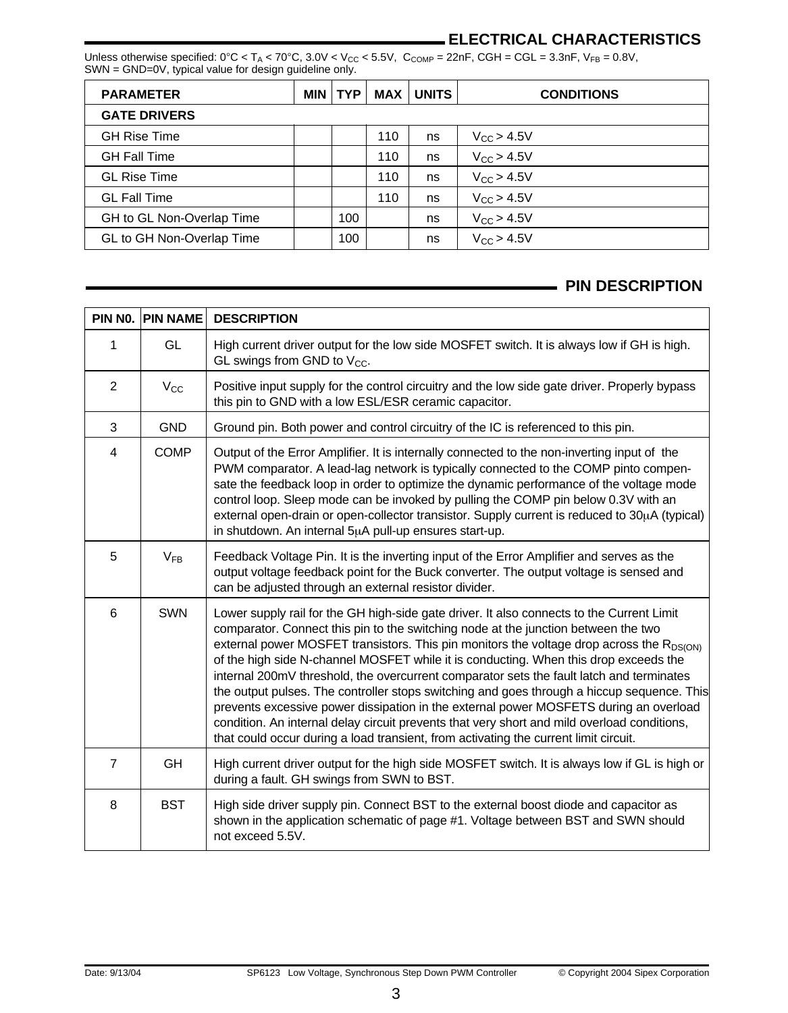# **ELECTRICAL CHARACTERISTICS**

Unless otherwise specified:  $0^{\circ}$ C < T<sub>A</sub> <  $70^{\circ}$ C,  $3.0$ V <  $V_{CC}$  < 5.5V, C<sub>COMP</sub> = 22nF, CGH = CGL = 3.3nF, V<sub>FB</sub> = 0.8V, SWN = GND=0V, typical value for design guideline only.

| <b>PARAMETER</b>          | MIN I | TYP. | MAX | <b>UNITS</b> | <b>CONDITIONS</b> |  |
|---------------------------|-------|------|-----|--------------|-------------------|--|
| <b>GATE DRIVERS</b>       |       |      |     |              |                   |  |
| <b>GH Rise Time</b>       |       |      | 110 | ns           | $V_{CC}$ > 4.5V   |  |
| <b>GH Fall Time</b>       |       |      | 110 | ns           | $V_{CC}$ > 4.5V   |  |
| <b>GL Rise Time</b>       |       |      | 110 | ns           | $V_{CC}$ > 4.5V   |  |
| <b>GL Fall Time</b>       |       |      | 110 | ns           | $V_{CC}$ > 4.5V   |  |
| GH to GL Non-Overlap Time |       | 100  |     | ns           | $V_{CC}$ > 4.5V   |  |
| GL to GH Non-Overlap Time |       | 100  |     | ns           | $V_{CC}$ > 4.5V   |  |

#### **PIN DESCRIPTION**

| PIN NO.        | <b>PIN NAME</b> | <b>DESCRIPTION</b>                                                                                                                                                                                                                                                                                                                                                                                                                                                                                                                                                                                                                                                                                                                                                                                                                                 |
|----------------|-----------------|----------------------------------------------------------------------------------------------------------------------------------------------------------------------------------------------------------------------------------------------------------------------------------------------------------------------------------------------------------------------------------------------------------------------------------------------------------------------------------------------------------------------------------------------------------------------------------------------------------------------------------------------------------------------------------------------------------------------------------------------------------------------------------------------------------------------------------------------------|
| 1              | GL              | High current driver output for the low side MOSFET switch. It is always low if GH is high.<br>GL swings from GND to $V_{CC}$ .                                                                                                                                                                                                                                                                                                                                                                                                                                                                                                                                                                                                                                                                                                                     |
| 2              | $V_{CC}$        | Positive input supply for the control circuitry and the low side gate driver. Properly bypass<br>this pin to GND with a low ESL/ESR ceramic capacitor.                                                                                                                                                                                                                                                                                                                                                                                                                                                                                                                                                                                                                                                                                             |
| 3              | <b>GND</b>      | Ground pin. Both power and control circuitry of the IC is referenced to this pin.                                                                                                                                                                                                                                                                                                                                                                                                                                                                                                                                                                                                                                                                                                                                                                  |
| $\overline{4}$ | <b>COMP</b>     | Output of the Error Amplifier. It is internally connected to the non-inverting input of the<br>PWM comparator. A lead-lag network is typically connected to the COMP pinto compen-<br>sate the feedback loop in order to optimize the dynamic performance of the voltage mode<br>control loop. Sleep mode can be invoked by pulling the COMP pin below 0.3V with an<br>external open-drain or open-collector transistor. Supply current is reduced to 30µA (typical)<br>in shutdown. An internal 5µA pull-up ensures start-up.                                                                                                                                                                                                                                                                                                                     |
| 5              | $V_{FB}$        | Feedback Voltage Pin. It is the inverting input of the Error Amplifier and serves as the<br>output voltage feedback point for the Buck converter. The output voltage is sensed and<br>can be adjusted through an external resistor divider.                                                                                                                                                                                                                                                                                                                                                                                                                                                                                                                                                                                                        |
| 6              | <b>SWN</b>      | Lower supply rail for the GH high-side gate driver. It also connects to the Current Limit<br>comparator. Connect this pin to the switching node at the junction between the two<br>external power MOSFET transistors. This pin monitors the voltage drop across the $R_{DS(ON)}$<br>of the high side N-channel MOSFET while it is conducting. When this drop exceeds the<br>internal 200mV threshold, the overcurrent comparator sets the fault latch and terminates<br>the output pulses. The controller stops switching and goes through a hiccup sequence. This<br>prevents excessive power dissipation in the external power MOSFETS during an overload<br>condition. An internal delay circuit prevents that very short and mild overload conditions,<br>that could occur during a load transient, from activating the current limit circuit. |
| $\overline{7}$ | <b>GH</b>       | High current driver output for the high side MOSFET switch. It is always low if GL is high or<br>during a fault. GH swings from SWN to BST.                                                                                                                                                                                                                                                                                                                                                                                                                                                                                                                                                                                                                                                                                                        |
| 8              | <b>BST</b>      | High side driver supply pin. Connect BST to the external boost diode and capacitor as<br>shown in the application schematic of page #1. Voltage between BST and SWN should<br>not exceed 5.5V.                                                                                                                                                                                                                                                                                                                                                                                                                                                                                                                                                                                                                                                     |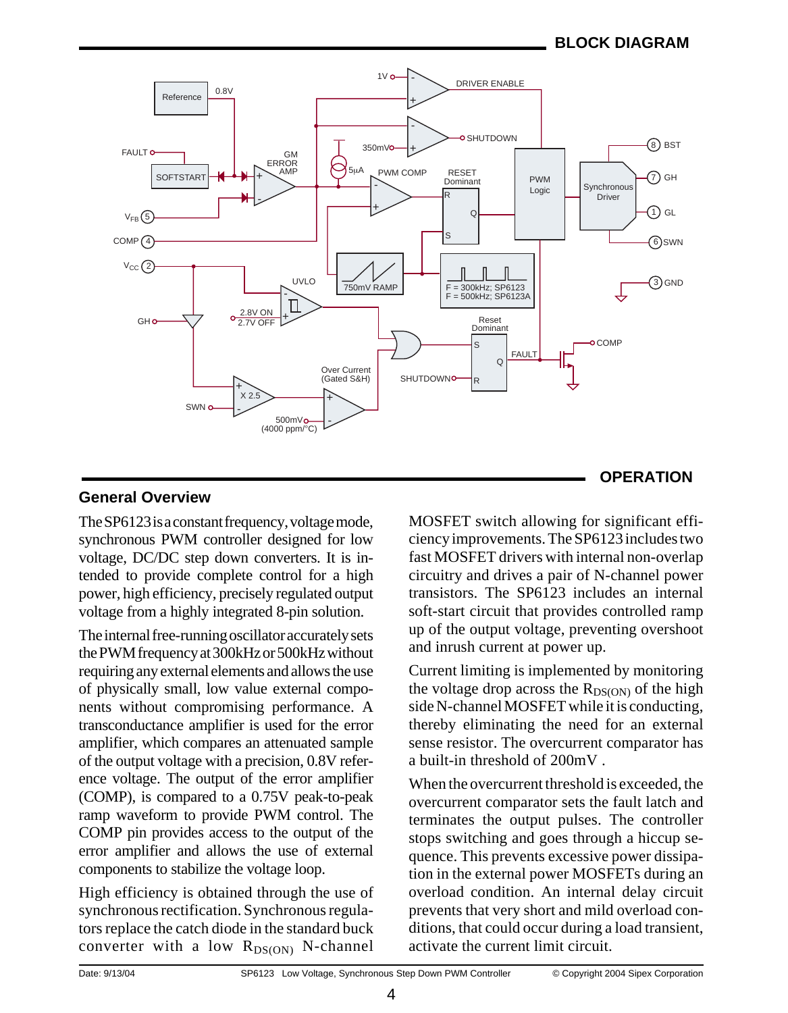

# **General Overview**

The SP6123 is a constant frequency, voltage mode, synchronous PWM controller designed for low voltage, DC/DC step down converters. It is intended to provide complete control for a high power, high efficiency, precisely regulated output voltage from a highly integrated 8-pin solution.

The internal free-running oscillator accurately sets the PWM frequency at 300kHz or 500kHz without requiring any external elements and allows the use of physically small, low value external components without compromising performance. A transconductance amplifier is used for the error amplifier, which compares an attenuated sample of the output voltage with a precision, 0.8V reference voltage. The output of the error amplifier (COMP), is compared to a 0.75V peak-to-peak ramp waveform to provide PWM control. The COMP pin provides access to the output of the error amplifier and allows the use of external components to stabilize the voltage loop.

High efficiency is obtained through the use of synchronous rectification. Synchronous regulators replace the catch diode in the standard buck converter with a low  $R_{DS(ON)}$  N-channel

MOSFET switch allowing for significant efficiency improvements. The SP6123 includes two fast MOSFET drivers with internal non-overlap circuitry and drives a pair of N-channel power transistors. The SP6123 includes an internal soft-start circuit that provides controlled ramp up of the output voltage, preventing overshoot and inrush current at power up.

Current limiting is implemented by monitoring the voltage drop across the  $R_{DS(ON)}$  of the high side N-channel MOSFET while it is conducting, thereby eliminating the need for an external sense resistor. The overcurrent comparator has a built-in threshold of 200mV .

When the overcurrent threshold is exceeded, the overcurrent comparator sets the fault latch and terminates the output pulses. The controller stops switching and goes through a hiccup sequence. This prevents excessive power dissipation in the external power MOSFETs during an overload condition. An internal delay circuit prevents that very short and mild overload conditions, that could occur during a load transient, activate the current limit circuit.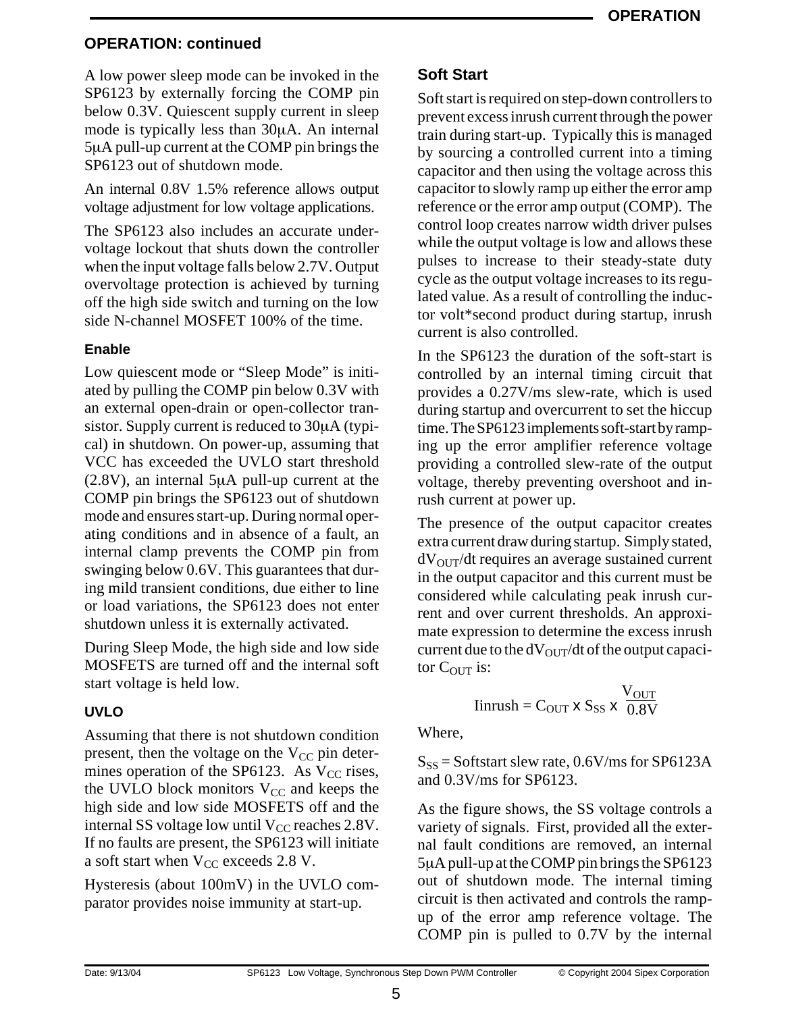# **OPERATION: continued**

A low power sleep mode can be invoked in the SP6123 by externally forcing the COMP pin below 0.3V. Quiescent supply current in sleep mode is typically less than 30µA. An internal 5µA pull-up current at the COMP pin brings the SP6123 out of shutdown mode.

An internal 0.8V 1.5% reference allows output voltage adjustment for low voltage applications.

The SP6123 also includes an accurate undervoltage lockout that shuts down the controller when the input voltage falls below 2.7V. Output overvoltage protection is achieved by turning off the high side switch and turning on the low side N-channel MOSFET 100% of the time.

### **Enable**

Low quiescent mode or "Sleep Mode" is initiated by pulling the COMP pin below 0.3V with an external open-drain or open-collector transistor. Supply current is reduced to 30µA (typical) in shutdown. On power-up, assuming that VCC has exceeded the UVLO start threshold (2.8V), an internal 5µA pull-up current at the COMP pin brings the SP6123 out of shutdown mode and ensures start-up. During normal operating conditions and in absence of a fault, an internal clamp prevents the COMP pin from swinging below 0.6V. This guarantees that during mild transient conditions, due either to line or load variations, the SP6123 does not enter shutdown unless it is externally activated.

During Sleep Mode, the high side and low side MOSFETS are turned off and the internal soft start voltage is held low.

# **UVLO**

Assuming that there is not shutdown condition present, then the voltage on the  $V_{CC}$  pin determines operation of the SP6123. As  $V_{CC}$  rises, the UVLO block monitors  $V_{CC}$  and keeps the high side and low side MOSFETS off and the internal SS voltage low until  $V_{CC}$  reaches 2.8V. If no faults are present, the SP6123 will initiate a soft start when  $V_{CC}$  exceeds 2.8 V.

Hysteresis (about 100mV) in the UVLO comparator provides noise immunity at start-up.

# **Soft Start**

Soft start is required on step-down controllers to prevent excess inrush current through the power train during start-up. Typically this is managed by sourcing a controlled current into a timing capacitor and then using the voltage across this capacitor to slowly ramp up either the error amp reference or the error amp output (COMP). The control loop creates narrow width driver pulses while the output voltage is low and allows these pulses to increase to their steady-state duty cycle as the output voltage increases to its regulated value. As a result of controlling the inductor volt\*second product during startup, inrush current is also controlled.

In the SP6123 the duration of the soft-start is controlled by an internal timing circuit that provides a 0.27V/ms slew-rate, which is used during startup and overcurrent to set the hiccup time. The SP6123 implements soft-start by ramping up the error amplifier reference voltage providing a controlled slew-rate of the output voltage, thereby preventing overshoot and inrush current at power up.

The presence of the output capacitor creates extra current draw during startup. Simply stated,  $dV<sub>OUT</sub>/dt$  requires an average sustained current in the output capacitor and this current must be considered while calculating peak inrush current and over current thresholds. An approximate expression to determine the excess inrush current due to the  $dV_{\text{OUT}}/dt$  of the output capacitor  $C_{\text{OUT}}$  is:

$$
Iinrush = COUT x SSS x \frac{VOUT}{0.8V}
$$

Where,

 $S_{SS}$  = Softstart slew rate, 0.6V/ms for SP6123A and 0.3V/ms for SP6123.

As the figure shows, the SS voltage controls a variety of signals. First, provided all the external fault conditions are removed, an internal 5µA pull-up at the COMP pin brings the SP6123 out of shutdown mode. The internal timing circuit is then activated and controls the rampup of the error amp reference voltage. The COMP pin is pulled to 0.7V by the internal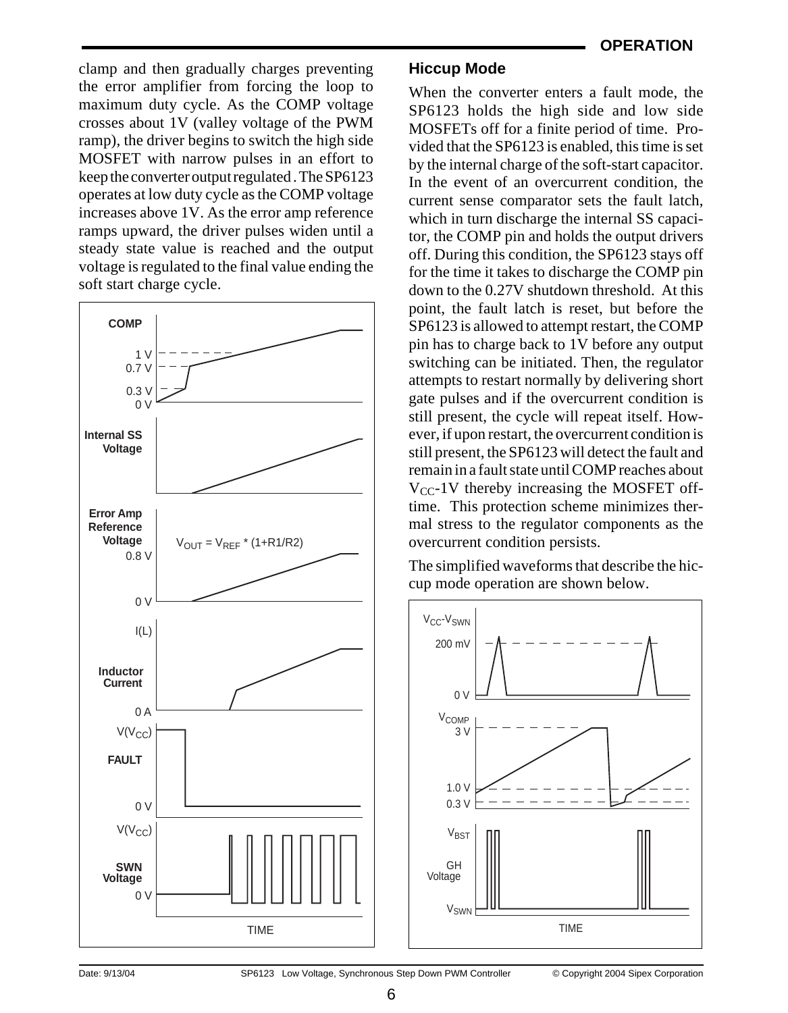clamp and then gradually charges preventing the error amplifier from forcing the loop to maximum duty cycle. As the COMP voltage crosses about 1V (valley voltage of the PWM ramp), the driver begins to switch the high side MOSFET with narrow pulses in an effort to keep the converter output regulated . The SP6123 operates at low duty cycle as the COMP voltage increases above 1V. As the error amp reference ramps upward, the driver pulses widen until a steady state value is reached and the output voltage is regulated to the final value ending the soft start charge cycle.



### **Hiccup Mode**

When the converter enters a fault mode, the SP6123 holds the high side and low side MOSFETs off for a finite period of time. Provided that the SP6123 is enabled, this time is set by the internal charge of the soft-start capacitor. In the event of an overcurrent condition, the current sense comparator sets the fault latch, which in turn discharge the internal SS capacitor, the COMP pin and holds the output drivers off. During this condition, the SP6123 stays off for the time it takes to discharge the COMP pin down to the 0.27V shutdown threshold. At this point, the fault latch is reset, but before the SP6123 is allowed to attempt restart, the COMP pin has to charge back to 1V before any output switching can be initiated. Then, the regulator attempts to restart normally by delivering short gate pulses and if the overcurrent condition is still present, the cycle will repeat itself. However, if upon restart, the overcurrent condition is still present, the SP6123 will detect the fault and remain in a fault state until COMP reaches about  $V_{CC}$ -1V thereby increasing the MOSFET offtime. This protection scheme minimizes thermal stress to the regulator components as the overcurrent condition persists.

The simplified waveforms that describe the hiccup mode operation are shown below.

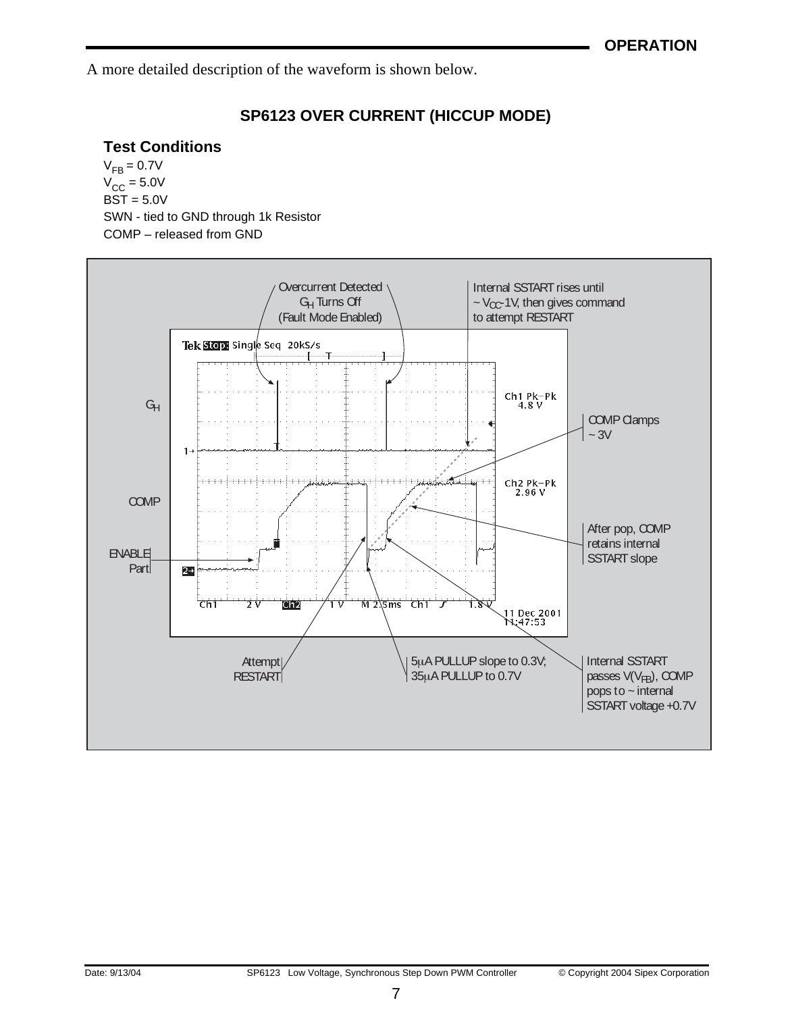A more detailed description of the waveform is shown below.

# **SP6123 OVER CURRENT (HICCUP MODE)**

# **Test Conditions**

 $V_{FB} = 0.7V$  $V_{\text{CC}} = 5.0V$  $BST = 5.0V$ SWN - tied to GND through 1k Resistor COMP – released from GND

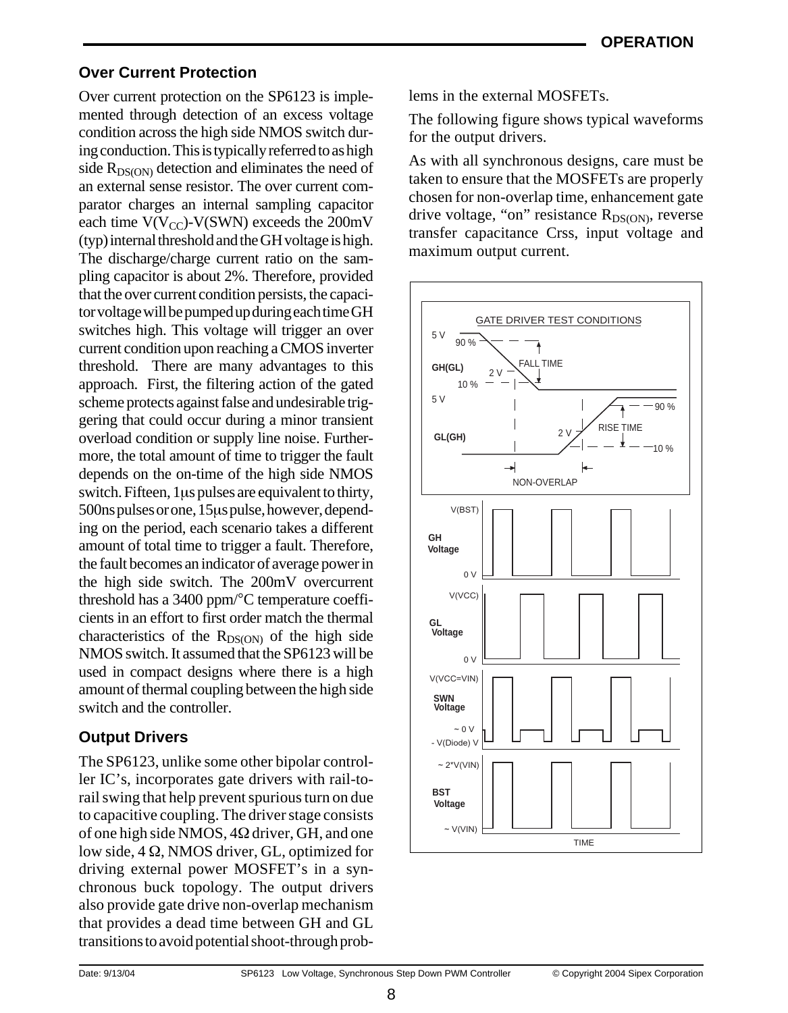# **Over Current Protection**

Over current protection on the SP6123 is implemented through detection of an excess voltage condition across the high side NMOS switch during conduction. This is typically referred to as high side  $R_{DS(ON)}$  detection and eliminates the need of an external sense resistor. The over current comparator charges an internal sampling capacitor each time  $V(V_{CC})$ - $V(SWN)$  exceeds the 200mV (typ) internal threshold and the GH voltage is high. The discharge/charge current ratio on the sampling capacitor is about 2%. Therefore, provided that the over current condition persists, the capacitor voltage will be pumped up during each time GH switches high. This voltage will trigger an over current condition upon reaching a CMOS inverter threshold. There are many advantages to this approach. First, the filtering action of the gated scheme protects against false and undesirable triggering that could occur during a minor transient overload condition or supply line noise. Furthermore, the total amount of time to trigger the fault depends on the on-time of the high side NMOS switch. Fifteen, 1µs pulses are equivalent to thirty, 500ns pulses or one, 15µs pulse, however, depending on the period, each scenario takes a different amount of total time to trigger a fault. Therefore, the fault becomes an indicator of average power in the high side switch. The 200mV overcurrent threshold has a 3400 ppm/°C temperature coefficients in an effort to first order match the thermal characteristics of the  $R_{DS(ON)}$  of the high side NMOS switch. It assumed that the SP6123 will be used in compact designs where there is a high amount of thermal coupling between the high side switch and the controller.

# **Output Drivers**

The SP6123, unlike some other bipolar controller IC's, incorporates gate drivers with rail-torail swing that help prevent spurious turn on due to capacitive coupling. The driver stage consists of one high side NMOS, 4Ω driver, GH, and one low side, 4 Ω, NMOS driver, GL, optimized for driving external power MOSFET's in a synchronous buck topology. The output drivers also provide gate drive non-overlap mechanism that provides a dead time between GH and GL transitions to avoid potential shoot-through problems in the external MOSFETs.

The following figure shows typical waveforms for the output drivers.

As with all synchronous designs, care must be taken to ensure that the MOSFETs are properly chosen for non-overlap time, enhancement gate drive voltage, "on" resistance  $R_{DS(ON)}$ , reverse transfer capacitance Crss, input voltage and maximum output current.

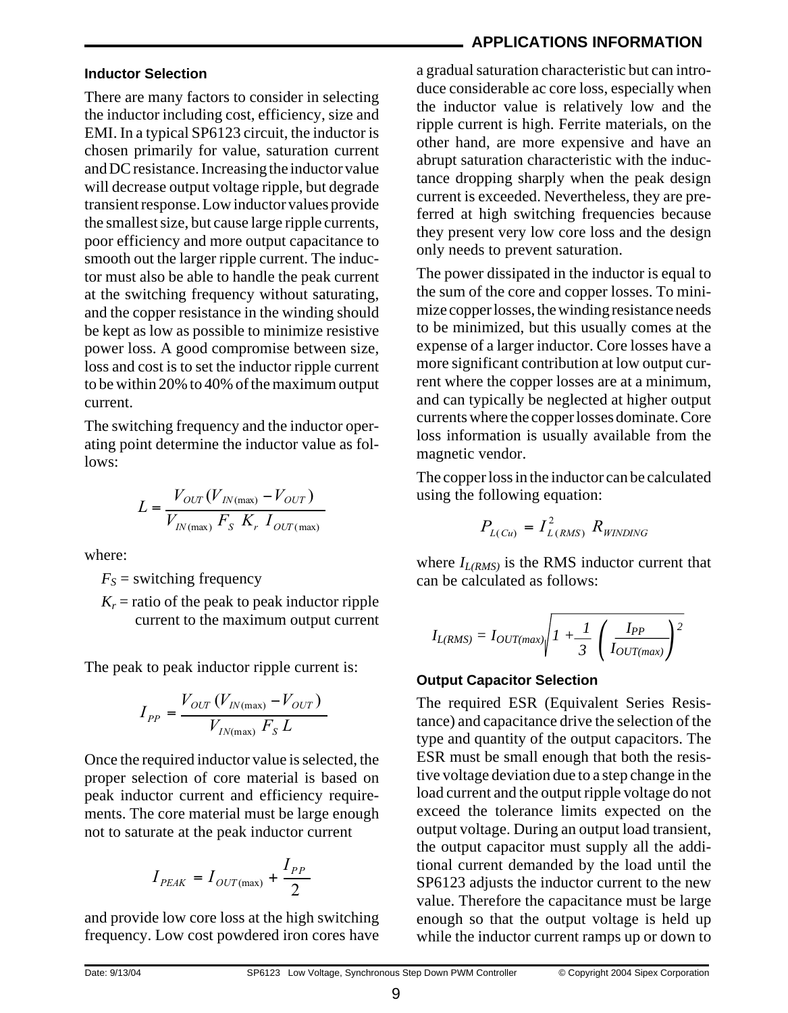### **Inductor Selection**

There are many factors to consider in selecting the inductor including cost, efficiency, size and EMI. In a typical SP6123 circuit, the inductor is chosen primarily for value, saturation current and DC resistance. Increasing the inductor value will decrease output voltage ripple, but degrade transient response. Low inductor values provide the smallest size, but cause large ripple currents, poor efficiency and more output capacitance to smooth out the larger ripple current. The inductor must also be able to handle the peak current at the switching frequency without saturating, and the copper resistance in the winding should be kept as low as possible to minimize resistive power loss. A good compromise between size, loss and cost is to set the inductor ripple current to be within 20% to 40% of the maximum output current.

The switching frequency and the inductor operating point determine the inductor value as follows:

$$
L = \frac{V_{OUT}(V_{IN(max)} - V_{OUT})}{V_{IN(max)} F_S K_r I_{OUT(max)}}
$$

where:

 $F<sub>S</sub>$  = switching frequency

 $K_r$  = ratio of the peak to peak inductor ripple current to the maximum output current

The peak to peak inductor ripple current is:

$$
I_{PP} = \frac{V_{OUT}(V_{IN(max)} - V_{OUT})}{V_{IN(max)} F_S L}
$$

Once the required inductor value is selected, the proper selection of core material is based on peak inductor current and efficiency requirements. The core material must be large enough not to saturate at the peak inductor current

$$
I_{PEAK} = I_{OUT{\rm (max)}} + \frac{I_{PP}}{2}
$$

and provide low core loss at the high switching frequency. Low cost powdered iron cores have

# **APPLICATIONS INFORMATION**

a gradual saturation characteristic but can introduce considerable ac core loss, especially when the inductor value is relatively low and the ripple current is high. Ferrite materials, on the other hand, are more expensive and have an abrupt saturation characteristic with the inductance dropping sharply when the peak design current is exceeded. Nevertheless, they are preferred at high switching frequencies because they present very low core loss and the design only needs to prevent saturation.

The power dissipated in the inductor is equal to the sum of the core and copper losses. To minimize copper losses, the winding resistance needs to be minimized, but this usually comes at the expense of a larger inductor. Core losses have a more significant contribution at low output current where the copper losses are at a minimum, and can typically be neglected at higher output currents where the copper losses dominate. Core loss information is usually available from the magnetic vendor.

The copper loss in the inductor can be calculated using the following equation:

$$
P_{L(Cu)} = I_{L(RMS)}^2 R_{WINDING}
$$

where  $I_{L(RMS)}$  is the RMS inductor current that can be calculated as follows:

$$
I_{L(RMS)} = I_{OUT(max)} \sqrt{I + \frac{1}{3} \left( \frac{I_{PP}}{I_{OUT(max)}} \right)^2}
$$

### **Output Capacitor Selection**

The required ESR (Equivalent Series Resistance) and capacitance drive the selection of the type and quantity of the output capacitors. The ESR must be small enough that both the resistive voltage deviation due to a step change in the load current and the output ripple voltage do not exceed the tolerance limits expected on the output voltage. During an output load transient, the output capacitor must supply all the additional current demanded by the load until the SP6123 adjusts the inductor current to the new value. Therefore the capacitance must be large enough so that the output voltage is held up while the inductor current ramps up or down to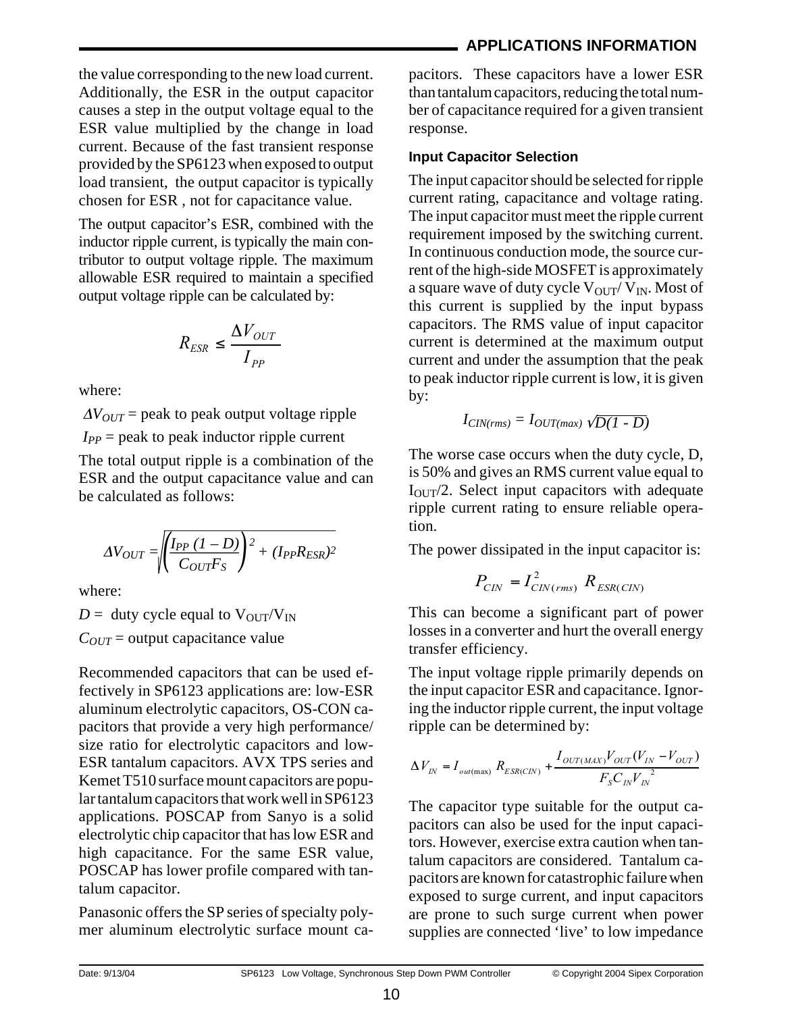# **APPLICATIONS INFORMATION**

the value corresponding to the new load current. Additionally, the ESR in the output capacitor causes a step in the output voltage equal to the ESR value multiplied by the change in load current. Because of the fast transient response provided by the SP6123 when exposed to output load transient, the output capacitor is typically chosen for ESR , not for capacitance value.

The output capacitor's ESR, combined with the inductor ripple current, is typically the main contributor to output voltage ripple. The maximum allowable ESR required to maintain a specified output voltage ripple can be calculated by:

$$
R_{ESR} \leq \frac{\Delta V_{OUT}}{I_{PP}}
$$

where:

 $\Delta V_{OUT}$  = peak to peak output voltage ripple  $I_{PP}$  = peak to peak inductor ripple current

The total output ripple is a combination of the ESR and the output capacitance value and can be calculated as follows:

$$
\Delta V_{OUT} = \sqrt{\left(\frac{I_{PP} (1 - D)}{C_{OUT} F_S}\right)^2 + (I_{PP} R_{ESR})^2}
$$

where:

 $D =$  duty cycle equal to  $V_{\text{OUT}}/V_{\text{IN}}$  $C_{OUT}$  = output capacitance value

Recommended capacitors that can be used effectively in SP6123 applications are: low-ESR aluminum electrolytic capacitors, OS-CON capacitors that provide a very high performance/ size ratio for electrolytic capacitors and low-ESR tantalum capacitors. AVX TPS series and Kemet T510 surface mount capacitors are popular tantalum capacitors that work well in SP6123 applications. POSCAP from Sanyo is a solid electrolytic chip capacitor that has low ESR and high capacitance. For the same ESR value, POSCAP has lower profile compared with tantalum capacitor.

Panasonic offers the SP series of specialty polymer aluminum electrolytic surface mount capacitors. These capacitors have a lower ESR than tantalum capacitors, reducing the total number of capacitance required for a given transient response.

# **Input Capacitor Selection**

The input capacitor should be selected for ripple current rating, capacitance and voltage rating. The input capacitor must meet the ripple current requirement imposed by the switching current. In continuous conduction mode, the source current of the high-side MOSFET is approximately a square wave of duty cycle  $V_{\text{OUT}}/V_{\text{IN}}$ . Most of this current is supplied by the input bypass capacitors. The RMS value of input capacitor current is determined at the maximum output current and under the assumption that the peak to peak inductor ripple current is low, it is given by:

$$
I_{CIN(rms)} = I_{OUT(max)}\sqrt{D(1-D)}
$$

The worse case occurs when the duty cycle, D, is 50% and gives an RMS current value equal to  $I<sub>OUT</sub>/2$ . Select input capacitors with adequate ripple current rating to ensure reliable operation.

The power dissipated in the input capacitor is:

$$
P_{\text{CIN}} = I_{\text{CIN}(rms)}^2 R_{\text{ESR}(\text{CIN})}
$$

This can become a significant part of power losses in a converter and hurt the overall energy transfer efficiency.

The input voltage ripple primarily depends on the input capacitor ESR and capacitance. Ignoring the inductor ripple current, the input voltage ripple can be determined by:

$$
\Delta V_{IN} = I_{out(max)} R_{ESR(CIN)} + \frac{I_{OUT(MAX)}V_{OUT}(V_{IN} - V_{OUT})}{F_{S}C_{IN}V_{IN}^{2}}
$$

The capacitor type suitable for the output capacitors can also be used for the input capacitors. However, exercise extra caution when tantalum capacitors are considered. Tantalum capacitors are known for catastrophic failure when exposed to surge current, and input capacitors are prone to such surge current when power supplies are connected 'live' to low impedance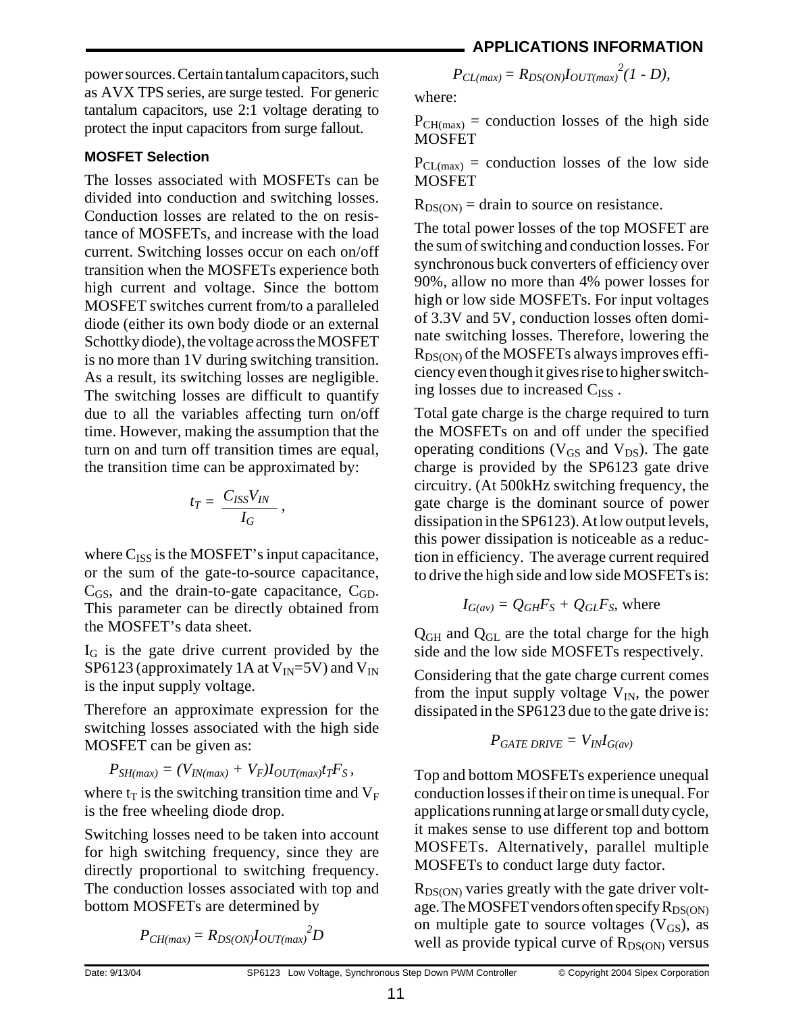power sources. Certain tantalum capacitors, such as AVX TPS series, are surge tested. For generic tantalum capacitors, use 2:1 voltage derating to protect the input capacitors from surge fallout.

# **MOSFET Selection**

The losses associated with MOSFETs can be divided into conduction and switching losses. Conduction losses are related to the on resistance of MOSFETs, and increase with the load current. Switching losses occur on each on/off transition when the MOSFETs experience both high current and voltage. Since the bottom MOSFET switches current from/to a paralleled diode (either its own body diode or an external Schottky diode), the voltage across the MOSFET is no more than 1V during switching transition. As a result, its switching losses are negligible. The switching losses are difficult to quantify due to all the variables affecting turn on/off time. However, making the assumption that the turn on and turn off transition times are equal, the transition time can be approximated by:

$$
t_T = \frac{C_{ISS}V_{IN}}{I_G},
$$

where  $C_{ISS}$  is the MOSFET's input capacitance, or the sum of the gate-to-source capacitance,  $C_{GS}$ , and the drain-to-gate capacitance,  $C_{GD}$ . This parameter can be directly obtained from the MOSFET's data sheet.

 $I_G$  is the gate drive current provided by the SP6123 (approximately 1A at  $V_{IN}$ =5V) and  $V_{IN}$ is the input supply voltage.

Therefore an approximate expression for the switching losses associated with the high side MOSFET can be given as:

$$
P_{SH(max)} = (V_{IN(max)} + V_F)I_{OUT(max)}t_TF_S,
$$

where  $t_T$  is the switching transition time and  $V_F$ is the free wheeling diode drop.

Switching losses need to be taken into account for high switching frequency, since they are directly proportional to switching frequency. The conduction losses associated with top and bottom MOSFETs are determined by

$$
P_{CH(max)} = R_{DS(ON)} I_{OUT(max)}^2 D
$$

 $P_{CL(max)} = R_{DS(ON)} I_{OUT(max)}^{2}(1 - D),$ 

where:

 $P_{CH(max)}$  = conduction losses of the high side **MOSFET** 

 $P_{CL(max)}$  = conduction losses of the low side **MOSFET** 

 $R_{DS(ON)} =$  drain to source on resistance.

The total power losses of the top MOSFET are the sum of switching and conduction losses. For synchronous buck converters of efficiency over 90%, allow no more than 4% power losses for high or low side MOSFETs. For input voltages of 3.3V and 5V, conduction losses often dominate switching losses. Therefore, lowering the  $R_{DS(ON)}$  of the MOSFETs always improves efficiency even though it gives rise to higher switching losses due to increased  $C_{ISS}$ .

Total gate charge is the charge required to turn the MOSFETs on and off under the specified operating conditions ( $V_{GS}$  and  $V_{DS}$ ). The gate charge is provided by the SP6123 gate drive circuitry. (At 500kHz switching frequency, the gate charge is the dominant source of power dissipation in the SP6123). At low output levels, this power dissipation is noticeable as a reduction in efficiency. The average current required to drive the high side and low side MOSFETs is:

$$
I_{G(av)} = Q_{GH}F_S + Q_{GL}F_S
$$
, where

 $Q<sub>GH</sub>$  and  $Q<sub>GL</sub>$  are the total charge for the high side and the low side MOSFETs respectively.

Considering that the gate charge current comes from the input supply voltage  $V_{IN}$ , the power dissipated in the SP6123 due to the gate drive is:

$$
P_{GATE\ DRIVE} = V_{IN}I_{G(av)}
$$

Top and bottom MOSFETs experience unequal conduction losses if their on time is unequal. For applications running at large or small duty cycle, it makes sense to use different top and bottom MOSFETs. Alternatively, parallel multiple MOSFETs to conduct large duty factor.

 $R_{DS(ON)}$  varies greatly with the gate driver voltage. The MOSFET vendors often specify  $R_{DS(ON)}$ on multiple gate to source voltages  $(V_{GS})$ , as well as provide typical curve of  $R_{DS(ON)}$  versus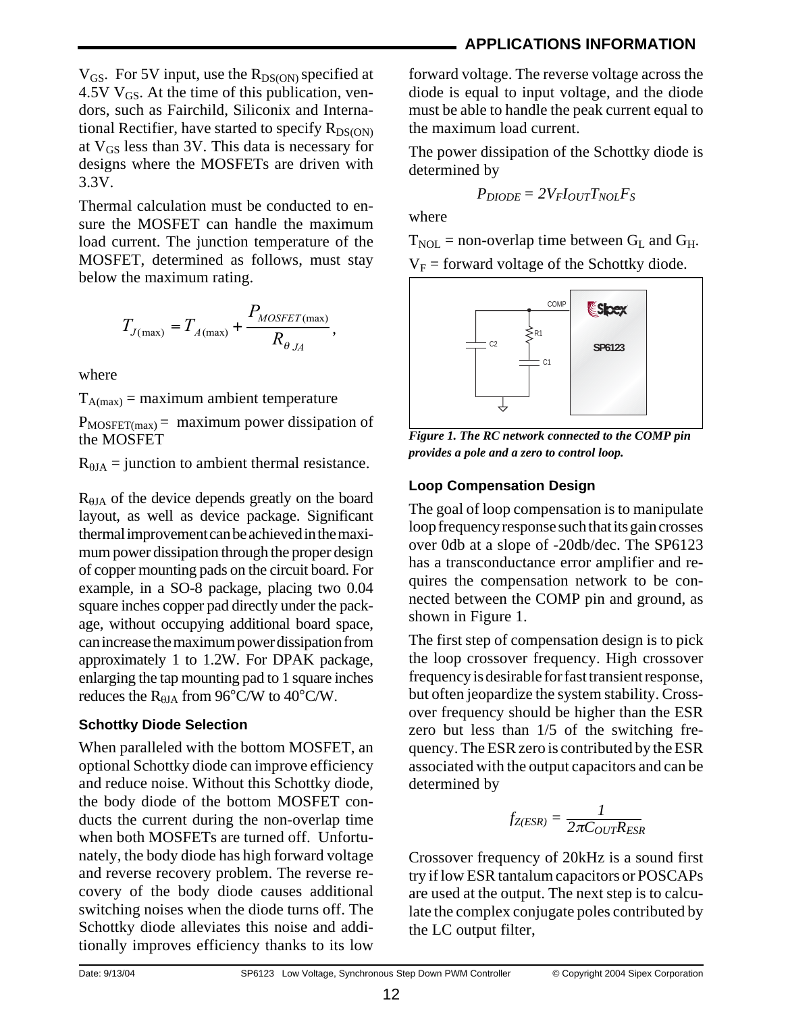Thermal calculation must be conducted to ensure the MOSFET can handle the maximum load current. The junction temperature of the MOSFET, determined as follows, must stay below the maximum rating.

$$
T_{J(\text{max})} = T_{A(\text{max})} + \frac{P_{MOSFET(\text{max})}}{R_{\theta_{JA}}},
$$

where

 $T_{A(max)}$  = maximum ambient temperature

 $P_{MOSFET(max)} =$  maximum power dissipation of the MOSFET

 $R_{\theta JA}$  = junction to ambient thermal resistance.

R<sub>θJA</sub> of the device depends greatly on the board layout, as well as device package. Significant thermal improvement can be achieved in the maximum power dissipation through the proper design of copper mounting pads on the circuit board. For example, in a SO-8 package, placing two 0.04 square inches copper pad directly under the package, without occupying additional board space, can increase the maximum power dissipation from approximately 1 to 1.2W. For DPAK package, enlarging the tap mounting pad to 1 square inches reduces the  $R_{HIA}$  from 96°C/W to 40°C/W.

### **Schottky Diode Selection**

When paralleled with the bottom MOSFET, an optional Schottky diode can improve efficiency and reduce noise. Without this Schottky diode, the body diode of the bottom MOSFET conducts the current during the non-overlap time when both MOSFETs are turned off. Unfortunately, the body diode has high forward voltage and reverse recovery problem. The reverse recovery of the body diode causes additional switching noises when the diode turns off. The Schottky diode alleviates this noise and additionally improves efficiency thanks to its low

forward voltage. The reverse voltage across the diode is equal to input voltage, and the diode must be able to handle the peak current equal to the maximum load current.

The power dissipation of the Schottky diode is determined by

$$
P_{DIODE} = 2V_F I_{OUT} T_{NOL} F_S
$$

where

 $T_{\text{NOL}}$  = non-overlap time between  $G_{\text{L}}$  and  $G_{\text{H}}$ .  $V_F$  = forward voltage of the Schottky diode.



*Figure 1. The RC network connected to the COMP pin provides a pole and a zero to control loop.*

# **Loop Compensation Design**

The goal of loop compensation is to manipulate loop frequency response such that its gain crosses over 0db at a slope of -20db/dec. The SP6123 has a transconductance error amplifier and requires the compensation network to be connected between the COMP pin and ground, as shown in Figure 1.

The first step of compensation design is to pick the loop crossover frequency. High crossover frequency is desirable for fast transient response, but often jeopardize the system stability. Crossover frequency should be higher than the ESR zero but less than 1/5 of the switching frequency. The ESR zero is contributed by the ESR associated with the output capacitors and can be determined by

$$
f_{Z(ESR)} = \frac{1}{2\pi C_{OUT}R_{ESR}}
$$

Crossover frequency of 20kHz is a sound first try if low ESR tantalum capacitors or POSCAPs are used at the output. The next step is to calculate the complex conjugate poles contributed by the LC output filter,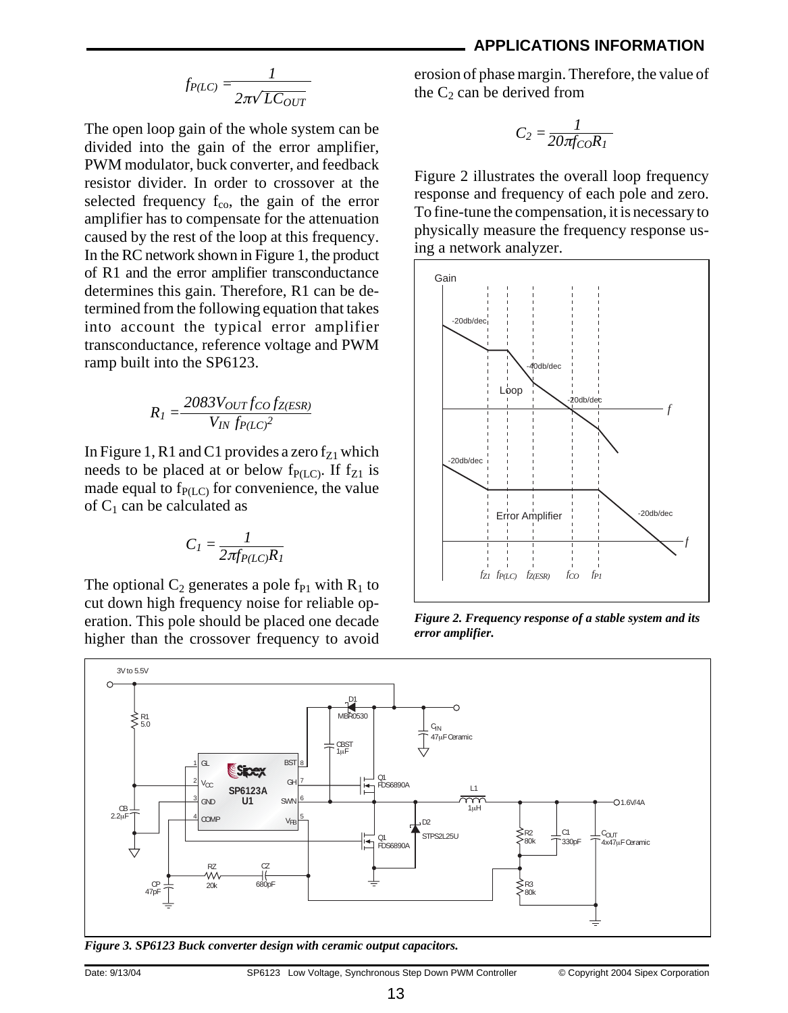#### **APPLICATIONS INFORMATION**

$$
f_{P(LC)} = \frac{1}{2\pi\sqrt{LC_{OUT}}}
$$

The open loop gain of the whole system can be divided into the gain of the error amplifier, PWM modulator, buck converter, and feedback resistor divider. In order to crossover at the selected frequency  $f_{\rm co}$ , the gain of the error amplifier has to compensate for the attenuation caused by the rest of the loop at this frequency. In the RC network shown in Figure 1, the product of R1 and the error amplifier transconductance determines this gain. Therefore, R1 can be determined from the following equation that takes into account the typical error amplifier transconductance, reference voltage and PWM ramp built into the SP6123.

$$
R_I = \frac{2083 V_{OUT} f_{CO} f_{Z(ESR)}}{V_{IN} f_{P(LC)}^2}
$$

In Figure 1, R1 and C1 provides a zero  $f_{Z1}$  which needs to be placed at or below  $f_{P(L,C)}$ . If  $f_{Z1}$  is made equal to  $f_{P(LC)}$  for convenience, the value of  $C_1$  can be calculated as

$$
C_I = \frac{I}{2\pi f_{P(LC)}R_I}
$$

The optional  $C_2$  generates a pole f<sub>P1</sub> with  $R_1$  to cut down high frequency noise for reliable operation. This pole should be placed one decade higher than the crossover frequency to avoid erosion of phase margin. Therefore, the value of the  $C_2$  can be derived from

$$
C_2 = \frac{1}{20\pi f_{CO}R_1}
$$

Figure 2 illustrates the overall loop frequency response and frequency of each pole and zero. To fine-tune the compensation, it is necessary to physically measure the frequency response using a network analyzer.



*Figure 2. Frequency response of a stable system and its error amplifier.*



*Figure 3. SP6123 Buck converter design with ceramic output capacitors.*

Date: 9/13/04 SP6123 Low Voltage, Synchronous Step Down PWM Controller © Copyright 2004 Sipex Corporation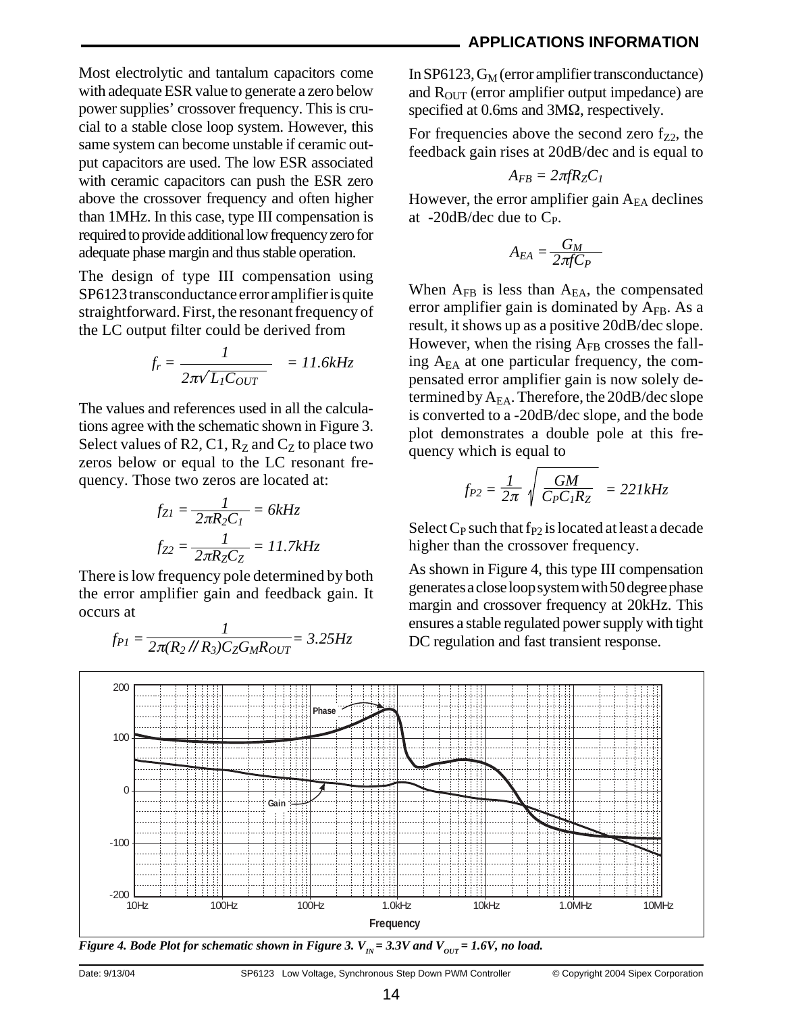Most electrolytic and tantalum capacitors come with adequate ESR value to generate a zero below power supplies' crossover frequency. This is crucial to a stable close loop system. However, this same system can become unstable if ceramic output capacitors are used. The low ESR associated with ceramic capacitors can push the ESR zero above the crossover frequency and often higher than 1MHz. In this case, type III compensation is required to provide additional low frequency zero for adequate phase margin and thus stable operation.

The design of type III compensation using SP6123 transconductance error amplifier is quite straightforward. First, the resonant frequency of the LC output filter could be derived from

$$
f_r = \frac{1}{2\pi\sqrt{L_I C_{OUT}}} = 11.6kHz
$$

The values and references used in all the calculations agree with the schematic shown in Figure 3. Select values of R2, C1,  $R_Z$  and  $C_Z$  to place two zeros below or equal to the LC resonant frequency. Those two zeros are located at:

$$
f_{ZI} = \frac{I}{2\pi R_2 C_I} = 6kHz
$$

$$
f_{Z2} = \frac{I}{2\pi R_Z C_Z} = 11.7kHz
$$

There is low frequency pole determined by both the error amplifier gain and feedback gain. It occurs at

$$
f_{PI} = \frac{1}{2\pi (R_2 / R_3) C_Z G_M R_{OUT}} = 3.25 Hz
$$

In  $SP6123$ ,  $G_M$  (error amplifier transconductance) and  $R<sub>OUT</sub>$  (error amplifier output impedance) are specified at 0.6ms and 3MΩ, respectively.

For frequencies above the second zero  $f_{Z2}$ , the feedback gain rises at 20dB/dec and is equal to

$$
A_{FB}=2\pi f R_Z C_I
$$

However, the error amplifier gain  $A_{EA}$  declines at  $-20$ dB/dec due to  $C_P$ .

$$
A_{EA} = \frac{G_M}{2\pi f C_P}
$$

When  $A_{FB}$  is less than  $A_{EA}$ , the compensated error amplifier gain is dominated by  $A_{FB}$ . As a result, it shows up as a positive 20dB/dec slope. However, when the rising  $A_{FB}$  crosses the falling  $A_{EA}$  at one particular frequency, the compensated error amplifier gain is now solely determined by  $A_{EA}$ . Therefore, the 20dB/dec slope is converted to a -20dB/dec slope, and the bode plot demonstrates a double pole at this frequency which is equal to

$$
f_{P2} = \frac{1}{2\pi} \sqrt{\frac{GM}{C_P C_I R_Z}} = 221kHz
$$

Select  $C_P$  such that  $f_{P2}$  is located at least a decade higher than the crossover frequency.

As shown in Figure 4, this type III compensation generates a close loop system with 50 degree phase margin and crossover frequency at 20kHz. This ensures a stable regulated power supply with tight DC regulation and fast transient response.



*Figure 4. Bode Plot for schematic shown in Figure 3.*  $V_{1N} = 3.3V$  and  $V_{0UT} = 1.6V$ , no load.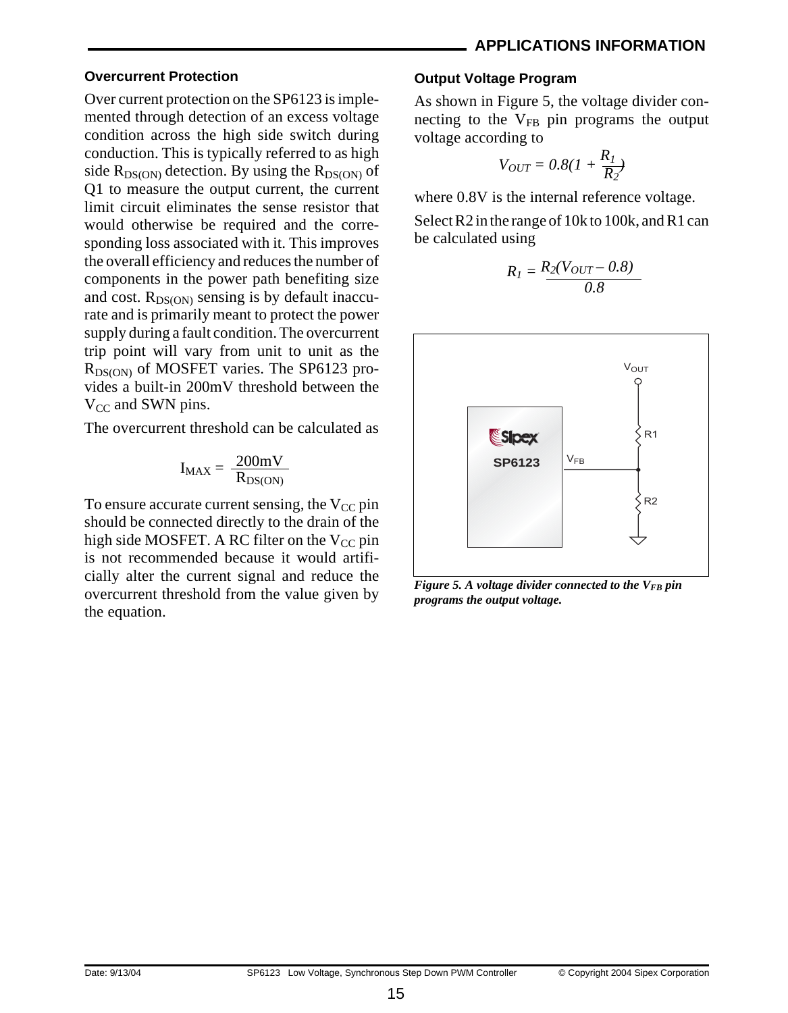#### **Overcurrent Protection**

Over current protection on the SP6123 is implemented through detection of an excess voltage condition across the high side switch during conduction. This is typically referred to as high side  $R_{DS(ON)}$  detection. By using the  $R_{DS(ON)}$  of Q1 to measure the output current, the current limit circuit eliminates the sense resistor that would otherwise be required and the corresponding loss associated with it. This improves the overall efficiency and reduces the number of components in the power path benefiting size and cost.  $R_{DS(ON)}$  sensing is by default inaccurate and is primarily meant to protect the power supply during a fault condition. The overcurrent trip point will vary from unit to unit as the R<sub>DS(ON)</sub> of MOSFET varies. The SP6123 provides a built-in 200mV threshold between the  $V_{CC}$  and SWN pins.

The overcurrent threshold can be calculated as

$$
I_{MAX} = \frac{200mV}{R_{DS(ON)}}
$$

To ensure accurate current sensing, the  $V_{CC}$  pin should be connected directly to the drain of the high side MOSFET. A RC filter on the  $V_{CC}$  pin is not recommended because it would artificially alter the current signal and reduce the overcurrent threshold from the value given by the equation.

#### **Output Voltage Program**

As shown in Figure 5, the voltage divider connecting to the  $V_{FB}$  pin programs the output voltage according to

$$
V_{OUT} = 0.8(1 + \frac{R_1}{R_2})
$$

where 0.8V is the internal reference voltage.

Select R2 in the range of 10k to 100k, and R1 can be calculated using

$$
R_I = \frac{R_2(V_{OUT} - 0.8)}{0.8}
$$



*Figure 5. A voltage divider connected to the V<sub>FB</sub> pin programs the output voltage.*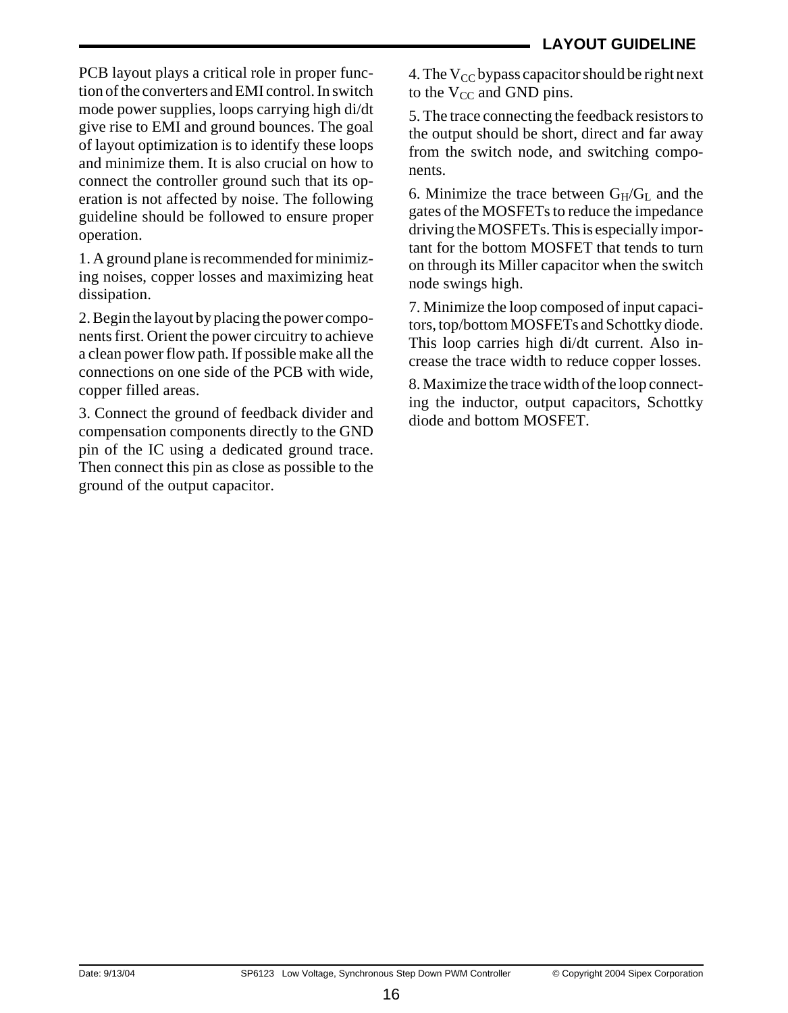PCB layout plays a critical role in proper function of the converters and EMI control. In switch mode power supplies, loops carrying high di/dt give rise to EMI and ground bounces. The goal of layout optimization is to identify these loops and minimize them. It is also crucial on how to connect the controller ground such that its operation is not affected by noise. The following guideline should be followed to ensure proper operation.

1. A ground plane is recommended for minimizing noises, copper losses and maximizing heat dissipation.

2. Begin the layout by placing the power components first. Orient the power circuitry to achieve a clean power flow path. If possible make all the connections on one side of the PCB with wide, copper filled areas.

3. Connect the ground of feedback divider and compensation components directly to the GND pin of the IC using a dedicated ground trace. Then connect this pin as close as possible to the ground of the output capacitor.

4. The  $V_{CC}$  bypass capacitor should be right next to the  $V_{CC}$  and GND pins.

5. The trace connecting the feedback resistors to the output should be short, direct and far away from the switch node, and switching components.

6. Minimize the trace between  $G_H/G_L$  and the gates of the MOSFETs to reduce the impedance driving the MOSFETs. This is especially important for the bottom MOSFET that tends to turn on through its Miller capacitor when the switch node swings high.

7. Minimize the loop composed of input capacitors, top/bottom MOSFETs and Schottky diode. This loop carries high di/dt current. Also increase the trace width to reduce copper losses.

8. Maximize the trace width of the loop connecting the inductor, output capacitors, Schottky diode and bottom MOSFET.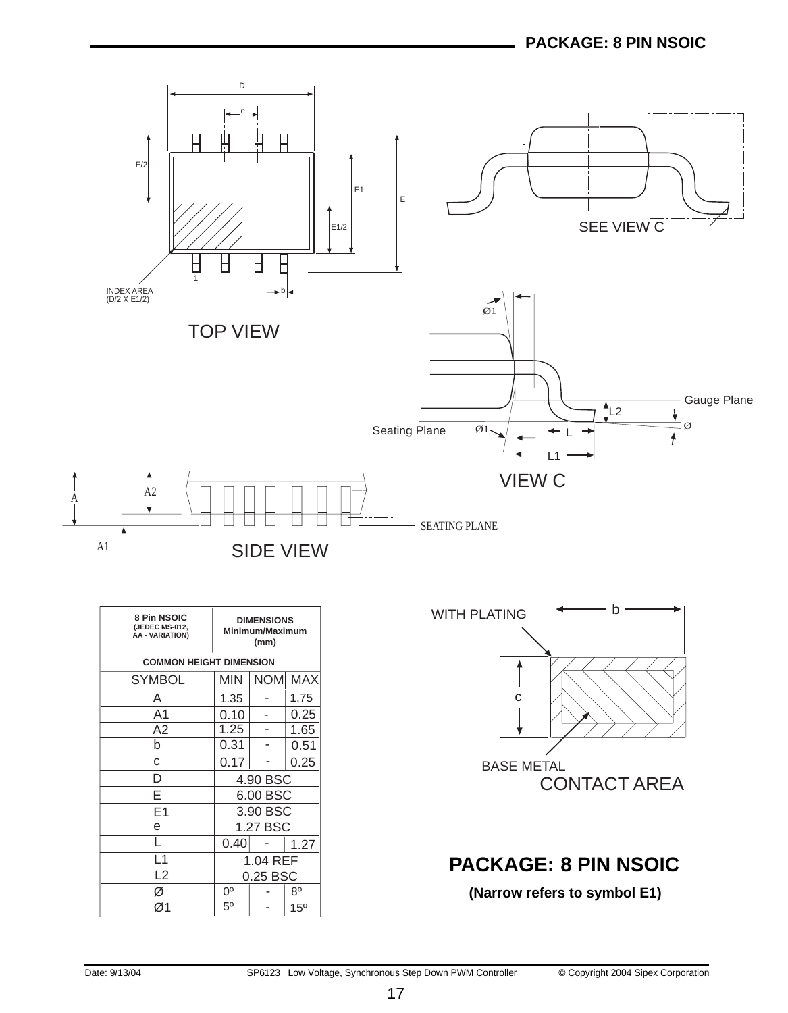

| 8 Pin NSOIC<br>(JEDEC MS-012.<br>AA - VARIATION) | <b>DIMENSIONS</b><br>Minimum/Maximum<br>(mm) |            |                 |
|--------------------------------------------------|----------------------------------------------|------------|-----------------|
| <b>COMMON HEIGHT DIMENSION</b>                   |                                              |            |                 |
| SYMBOL                                           | MIN                                          | <b>NOM</b> | <b>MAX</b>      |
| Α                                                | 1.35                                         |            | 1.75            |
| A1                                               | 0.10                                         |            | 0.25            |
| A2                                               | 1.25                                         |            | 1.65            |
| b                                                | 0.31                                         |            | 0.51            |
| C                                                | 0.17                                         |            | 0.25            |
| D                                                |                                              | 4.90 BSC   |                 |
| E                                                |                                              | 6.00 BSC   |                 |
| E <sub>1</sub>                                   |                                              | 3.90 BSC   |                 |
| е                                                |                                              | 1.27 BSC   |                 |
|                                                  | 0.40                                         |            | 1.27            |
| L1                                               |                                              | 1.04 REF   |                 |
| L <sub>2</sub>                                   |                                              | 0.25 BSC   |                 |
| Ø                                                | $0^{\circ}$                                  |            | $8^{\circ}$     |
| Ø1                                               | 5 <sup>0</sup>                               |            | 15 <sup>o</sup> |



# **PACKAGE: 8 PIN NSOIC**

### **(Narrow refers to symbol E1)**